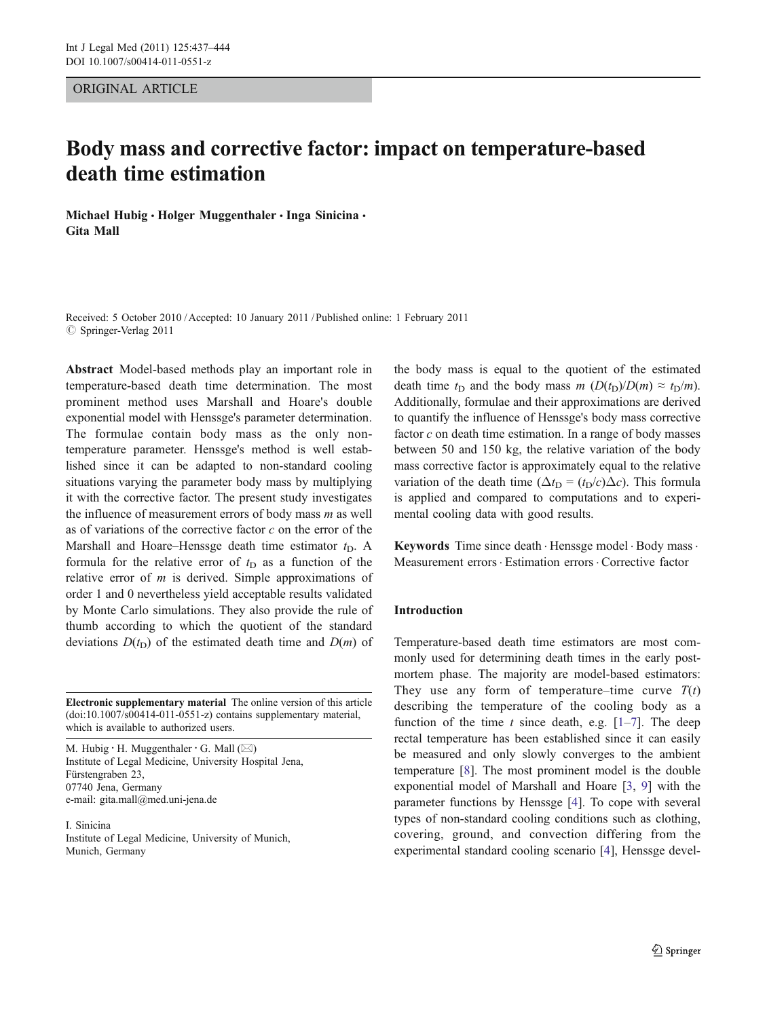## ORIGINAL ARTICLE

# Body mass and corrective factor: impact on temperature-based death time estimation

Michael Hubig • Holger Muggenthaler • Inga Sinicina • Gita Mall

Received: 5 October 2010 /Accepted: 10 January 2011 / Published online: 1 February 2011  $\circ$  Springer-Verlag 2011

Abstract Model-based methods play an important role in temperature-based death time determination. The most prominent method uses Marshall and Hoare's double exponential model with Henssge's parameter determination. The formulae contain body mass as the only nontemperature parameter. Henssge's method is well established since it can be adapted to non-standard cooling situations varying the parameter body mass by multiplying it with the corrective factor. The present study investigates the influence of measurement errors of body mass  $m$  as well as of variations of the corrective factor  $c$  on the error of the Marshall and Hoare–Henssge death time estimator  $t_D$ . A formula for the relative error of  $t_D$  as a function of the relative error of  $m$  is derived. Simple approximations of order 1 and 0 nevertheless yield acceptable results validated by Monte Carlo simulations. They also provide the rule of thumb according to which the quotient of the standard deviations  $D(t<sub>D</sub>)$  of the estimated death time and  $D(m)$  of

Electronic supplementary material The online version of this article (doi:[10.1007/s00414-011-0551-z](http://dx.doi.org/10.1007/s00414-011-0551-z)) contains supplementary material, which is available to authorized users.

M. Hubig  $\cdot$  H. Muggenthaler  $\cdot$  G. Mall ( $\boxtimes$ ) Institute of Legal Medicine, University Hospital Jena, Fürstengraben 23, 07740 Jena, Germany e-mail: gita.mall@med.uni-jena.de

I. Sinicina Institute of Legal Medicine, University of Munich, Munich, Germany

the body mass is equal to the quotient of the estimated death time  $t_D$  and the body mass  $m \left(D(t_D)/D(m) \approx t_D/m\right)$ . Additionally, formulae and their approximations are derived to quantify the influence of Henssge's body mass corrective factor  $c$  on death time estimation. In a range of body masses between 50 and 150 kg, the relative variation of the body mass corrective factor is approximately equal to the relative variation of the death time ( $\Delta t_D = (t_D/c)\Delta c$ ). This formula is applied and compared to computations and to experimental cooling data with good results.

Keywords Time since death · Henssge model · Body mass · Measurement errors. Estimation errors . Corrective factor

## Introduction

Temperature-based death time estimators are most commonly used for determining death times in the early postmortem phase. The majority are model-based estimators: They use any form of temperature–time curve  $T(t)$ describing the temperature of the cooling body as a function of the time t since death, e.g.  $[1-7]$  $[1-7]$  $[1-7]$  $[1-7]$ . The deep rectal temperature has been established since it can easily be measured and only slowly converges to the ambient temperature [\[8](#page-7-0)]. The most prominent model is the double exponential model of Marshall and Hoare [[3,](#page-7-0) [9](#page-7-0)] with the parameter functions by Henssge [[4](#page-7-0)]. To cope with several types of non-standard cooling conditions such as clothing, covering, ground, and convection differing from the experimental standard cooling scenario [\[4](#page-7-0)], Henssge devel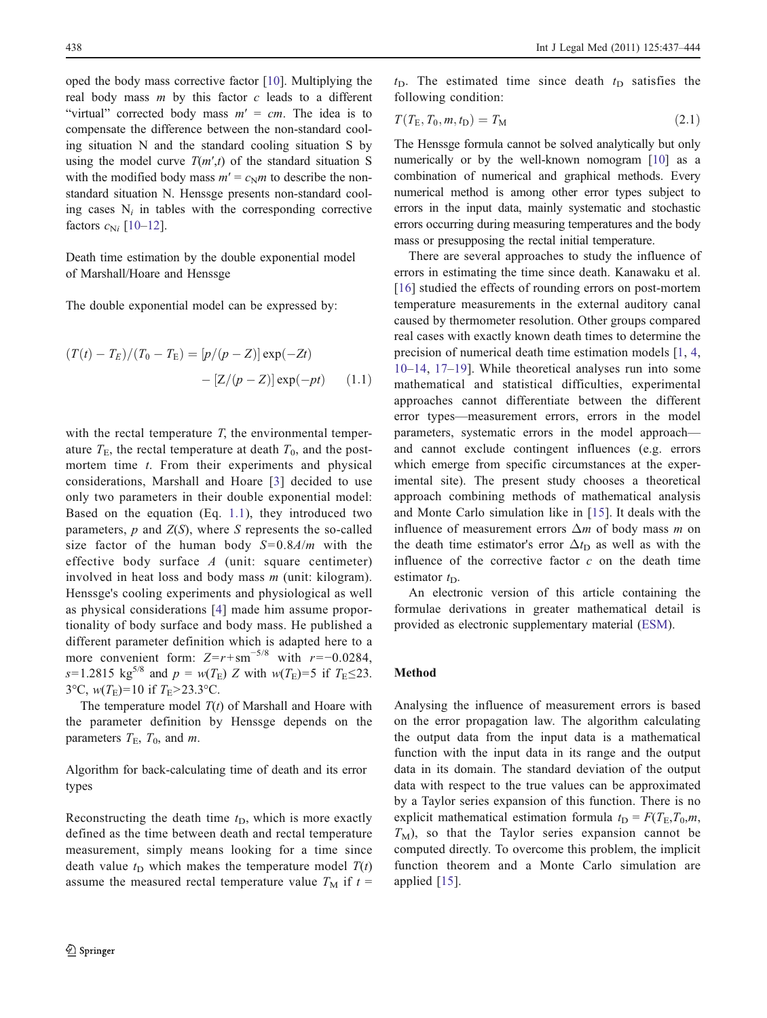<span id="page-1-0"></span>oped the body mass corrective factor [\[10](#page-7-0)]. Multiplying the real body mass  $m$  by this factor  $c$  leads to a different "virtual" corrected body mass  $m' = cm$ . The idea is to compensate the difference between the non-standard cooling situation N and the standard cooling situation S by using the model curve  $T(m',t)$  of the standard situation S with the modified body mass  $m' = c_N m$  to describe the nonstandard situation N. Henssge presents non-standard cooling cases  $N_i$  in tables with the corresponding corrective factors  $c_{\text{N}i}$  [\[10](#page-7-0)–[12](#page-7-0)].

Death time estimation by the double exponential model of Marshall/Hoare and Henssge

The double exponential model can be expressed by:

$$
(T(t) - T_E)/(T_0 - T_E) = [p/(p - Z)] \exp(-Zt)
$$

$$
- [Z/(p - Z)] \exp(-pt) \qquad (1.1)
$$

with the rectal temperature  $T$ , the environmental temperature  $T_{\text{E}}$ , the rectal temperature at death  $T_0$ , and the postmortem time  $t$ . From their experiments and physical considerations, Marshall and Hoare [\[3\]](#page-7-0) decided to use only two parameters in their double exponential model: Based on the equation (Eq. 1.1), they introduced two parameters,  $p$  and  $Z(S)$ , where  $S$  represents the so-called size factor of the human body  $S=0.8A/m$  with the effective body surface  $A$  (unit: square centimeter) involved in heat loss and body mass m (unit: kilogram). Henssge's cooling experiments and physiological as well as physical considerations [[4\]](#page-7-0) made him assume proportionality of body surface and body mass. He published a different parameter definition which is adapted here to a more convenient form:  $Z=r+\text{sm}^{-5/8}$  with  $r=-0.0284$ , s=1.2815 kg<sup>5/8</sup> and  $p = w(T_E) Z$  with  $w(T_E) = 5$  if  $T_E \le 23$ . 3°C,  $w(T_E)$ =10 if  $T_E$ >23.3°C.

The temperature model  $T(t)$  of Marshall and Hoare with the parameter definition by Henssge depends on the parameters  $T_{\rm E}$ ,  $T_0$ , and *m*.

Algorithm for back-calculating time of death and its error types

Reconstructing the death time  $t<sub>D</sub>$ , which is more exactly defined as the time between death and rectal temperature measurement, simply means looking for a time since death value  $t_D$  which makes the temperature model  $T(t)$ assume the measured rectal temperature value  $T_M$  if  $t =$   $t<sub>D</sub>$ . The estimated time since death  $t<sub>D</sub>$  satisfies the following condition:

$$
T(T_{\rm E}, T_0, m, t_{\rm D}) = T_{\rm M} \tag{2.1}
$$

The Henssge formula cannot be solved analytically but only numerically or by the well-known nomogram [[10\]](#page-7-0) as a combination of numerical and graphical methods. Every numerical method is among other error types subject to errors in the input data, mainly systematic and stochastic errors occurring during measuring temperatures and the body mass or presupposing the rectal initial temperature.

There are several approaches to study the influence of errors in estimating the time since death. Kanawaku et al. [\[16\]](#page-7-0) studied the effects of rounding errors on post-mortem temperature measurements in the external auditory canal caused by thermometer resolution. Other groups compared real cases with exactly known death times to determine the precision of numerical death time estimation models [\[1](#page-6-0), [4,](#page-7-0) [10](#page-7-0)–[14,](#page-7-0) [17](#page-7-0)–[19\]](#page-7-0). While theoretical analyses run into some mathematical and statistical difficulties, experimental approaches cannot differentiate between the different error types—measurement errors, errors in the model parameters, systematic errors in the model approach and cannot exclude contingent influences (e.g. errors which emerge from specific circumstances at the experimental site). The present study chooses a theoretical approach combining methods of mathematical analysis and Monte Carlo simulation like in [[15\]](#page-7-0). It deals with the influence of measurement errors  $\Delta m$  of body mass m on the death time estimator's error  $\Delta t_{\rm D}$  as well as with the influence of the corrective factor  $c$  on the death time estimator  $t_D$ .

An electronic version of this article containing the formulae derivations in greater mathematical detail is provided as electronic supplementary material (ESM).

# Method

Analysing the influence of measurement errors is based on the error propagation law. The algorithm calculating the output data from the input data is a mathematical function with the input data in its range and the output data in its domain. The standard deviation of the output data with respect to the true values can be approximated by a Taylor series expansion of this function. There is no explicit mathematical estimation formula  $t_D = F(T_E, T_0, m,$  $T_M$ ), so that the Taylor series expansion cannot be computed directly. To overcome this problem, the implicit function theorem and a Monte Carlo simulation are applied [\[15\]](#page-7-0).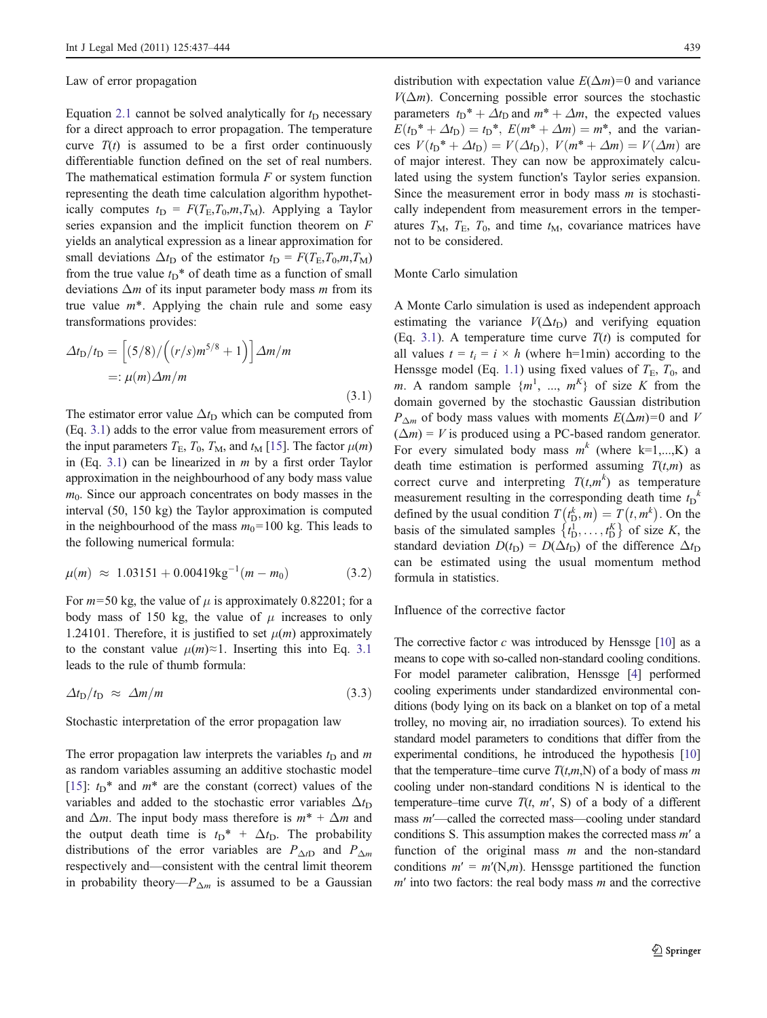#### <span id="page-2-0"></span>Law of error propagation

Equation [2.1](#page-1-0) cannot be solved analytically for  $t_D$  necessary for a direct approach to error propagation. The temperature curve  $T(t)$  is assumed to be a first order continuously differentiable function defined on the set of real numbers. The mathematical estimation formula  $F$  or system function representing the death time calculation algorithm hypothetically computes  $t_D = F(T_E, T_0, m, T_M)$ . Applying a Taylor series expansion and the implicit function theorem on F yields an analytical expression as a linear approximation for small deviations  $\Delta t_D$  of the estimator  $t_D = F(T_E, T_0, m, T_M)$ from the true value  $t_D^*$  of death time as a function of small deviations  $\Delta m$  of its input parameter body mass m from its true value  $m^*$ . Applying the chain rule and some easy transformations provides:

$$
\Delta t_{\rm D}/t_{\rm D} = \left[ (5/8) / \left( (r/s)m^{5/8} + 1 \right) \right] \Delta m/m
$$

$$
=:\mu(m)\Delta m/m
$$
(3.1)

The estimator error value  $\Delta t_D$  which can be computed from (Eq. 3.1) adds to the error value from measurement errors of the input parameters  $T_{\rm E}$ ,  $T_0$ ,  $T_{\rm M}$ , and  $t_{\rm M}$  [[15](#page-7-0)]. The factor  $\mu(m)$ in (Eq. 3.1) can be linearized in  $m$  by a first order Taylor approximation in the neighbourhood of any body mass value  $m<sub>0</sub>$ . Since our approach concentrates on body masses in the interval (50, 150 kg) the Taylor approximation is computed in the neighbourhood of the mass  $m_0$ =100 kg. This leads to the following numerical formula:

$$
\mu(m) \approx 1.03151 + 0.00419 \text{kg}^{-1} (m - m_0) \tag{3.2}
$$

For  $m=50$  kg, the value of  $\mu$  is approximately 0.82201; for a body mass of 150 kg, the value of  $\mu$  increases to only 1.24101. Therefore, it is justified to set  $\mu(m)$  approximately to the constant value  $\mu(m) \approx 1$ . Inserting this into Eq. 3.1 leads to the rule of thumb formula:

 $\Delta t_{\rm D}/t_{\rm D} \approx \Delta m/m$  (3.3)

Stochastic interpretation of the error propagation law

The error propagation law interprets the variables  $t_D$  and m as random variables assuming an additive stochastic model [\[15](#page-7-0)]:  $t_D^*$  and  $m^*$  are the constant (correct) values of the variables and added to the stochastic error variables  $\Delta t_{\text{D}}$ and  $\Delta m$ . The input body mass therefore is  $m^* + \Delta m$  and the output death time is  $t_D^* + \Delta t_D$ . The probability distributions of the error variables are  $P_{\Delta tD}$  and  $P_{\Delta m}$ respectively and—consistent with the central limit theorem in probability theory— $P_{\Delta m}$  is assumed to be a Gaussian

distribution with expectation value  $E(\Delta m)=0$  and variance  $V(\Delta m)$ . Concerning possible error sources the stochastic parameters  $t_D^* + \Delta t_D$  and  $m^* + \Delta m$ , the expected values  $E(t_{D}^* + \Delta t_{D}) = t_{D}^*, E(m^* + \Delta m) = m^*$ , and the variances  $V(t_D^* + \Delta t_D) = V(\Delta t_D)$ ,  $V(m^* + \Delta m) = V(\Delta m)$  are of major interest. They can now be approximately calculated using the system function's Taylor series expansion. Since the measurement error in body mass  $m$  is stochastically independent from measurement errors in the temperatures  $T_M$ ,  $T_E$ ,  $T_0$ , and time  $t_M$ , covariance matrices have not to be considered.

#### Monte Carlo simulation

A Monte Carlo simulation is used as independent approach estimating the variance  $V(\Delta t_D)$  and verifying equation (Eq. 3.1). A temperature time curve  $T(t)$  is computed for all values  $t = t_i = i \times h$  (where h=1min) according to the Henssge model (Eq. [1.1\)](#page-1-0) using fixed values of  $T_{\text{E}}$ ,  $T_0$ , and m. A random sample  $\{m^1, ..., m^K\}$  of size K from the domain governed by the stochastic Gaussian distribution  $P_{\Delta m}$  of body mass values with moments  $E(\Delta m)=0$  and V  $(\Delta m) = V$  is produced using a PC-based random generator. For every simulated body mass  $m^k$  (where k=1,...,K) a death time estimation is performed assuming  $T(t,m)$  as correct curve and interpreting  $T(t,m^k)$  as temperature measurement resulting in the corresponding death time  $t_D$ <sup>k</sup> defined by the usual condition  $T(t_{\mathrm{D}}^k, m) = T(t, m^k)$ . On the basis of the simulated samples  $\{t_1^1, \ldots, t_D^k\}$  $\{\bar{t}_\text{D}^1, \ldots, \bar{t}_\text{D}^K\}$  of size K, the standard deviation  $D(t_D) = D(\Delta t_D)$  of the difference  $\Delta t_D$ can be estimated using the usual momentum method formula in statistics.

# Influence of the corrective factor

The corrective factor  $c$  was introduced by Henssge  $[10]$  as a means to cope with so-called non-standard cooling conditions. For model parameter calibration, Henssge [\[4](#page-7-0)] performed cooling experiments under standardized environmental conditions (body lying on its back on a blanket on top of a metal trolley, no moving air, no irradiation sources). To extend his standard model parameters to conditions that differ from the experimental conditions, he introduced the hypothesis [\[10](#page-7-0)] that the temperature–time curve  $T(t,m,N)$  of a body of mass m cooling under non-standard conditions N is identical to the temperature–time curve  $T(t, m', S)$  of a body of a different mass m′—called the corrected mass—cooling under standard conditions S. This assumption makes the corrected mass  $m'$  a function of the original mass  $m$  and the non-standard conditions  $m' = m'(N,m)$ . Hensege partitioned the function  $m'$  into two factors: the real body mass  $m$  and the corrective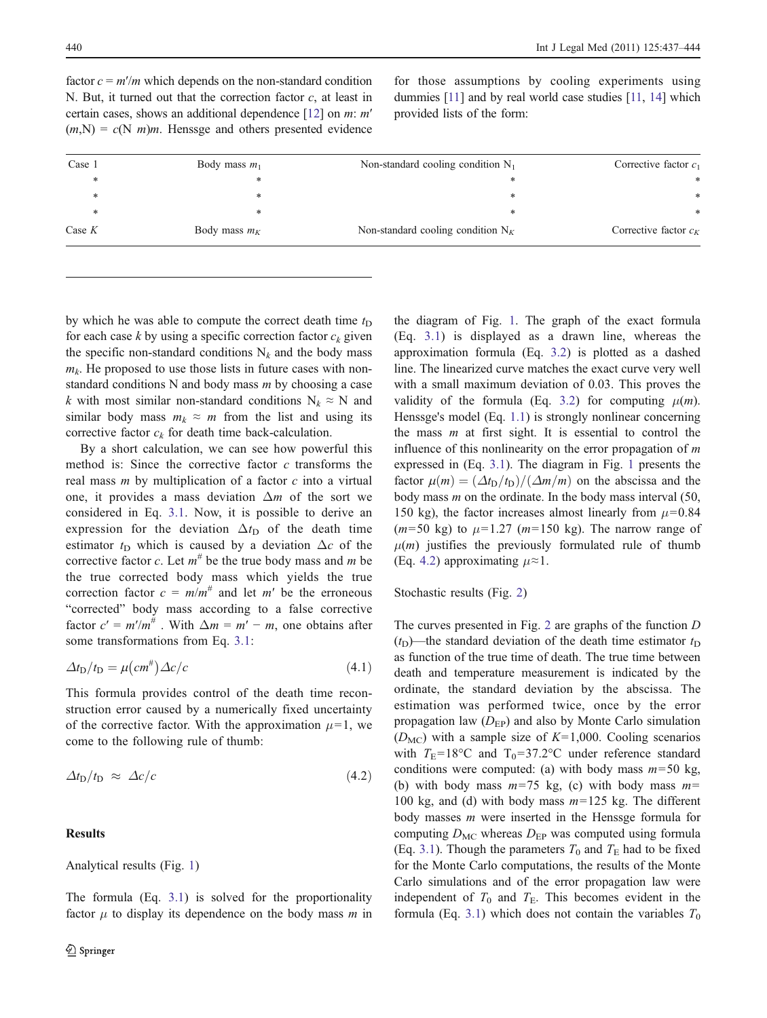<span id="page-3-0"></span>factor  $c = m'/m$  which depends on the non-standard condition N. But, it turned out that the correction factor  $c$ , at least in certain cases, shows an additional dependence [[12](#page-7-0)] on m: m′  $(m,N) = c(N/m)m$ . Henssge and others presented evidence

for those assumptions by cooling experiments using dummies [\[11\]](#page-7-0) and by real world case studies [\[11,](#page-7-0) [14](#page-7-0)] which provided lists of the form:

| Case 1   | Body mass $m_1$ | Non-standard cooling condition $N_1$ | Corrective factor $c_1$ |
|----------|-----------------|--------------------------------------|-------------------------|
| $\ast$   | *               |                                      | *                       |
| ∗        | *               | *                                    | *                       |
| ∗        | *               | ж                                    | *                       |
| Case $K$ | Body mass $m_K$ | Non-standard cooling condition $N_K$ | Corrective factor $c_K$ |

by which he was able to compute the correct death time  $t_D$ for each case  $k$  by using a specific correction factor  $c_k$  given the specific non-standard conditions  $N_k$  and the body mass  $m_k$ . He proposed to use those lists in future cases with nonstandard conditions  $N$  and body mass  $m$  by choosing a case k with most similar non-standard conditions  $N_k \approx N$  and similar body mass  $m_k \approx m$  from the list and using its corrective factor  $c_k$  for death time back-calculation.

By a short calculation, we can see how powerful this method is: Since the corrective factor  $c$  transforms the real mass  $m$  by multiplication of a factor  $c$  into a virtual one, it provides a mass deviation  $\Delta m$  of the sort we considered in Eq. [3.1](#page-2-0). Now, it is possible to derive an expression for the deviation  $\Delta t_{\rm D}$  of the death time estimator  $t_D$  which is caused by a deviation  $\Delta c$  of the corrective factor c. Let  $m^{\#}$  be the true body mass and m be the true corrected body mass which yields the true correction factor  $c = m/m^{\#}$  and let m' be the erroneous "corrected" body mass according to a false corrective factor  $c' = m'/m^{\#}$ . With  $\Delta m = m' - m$ , one obtains after some transformations from Eq. [3.1:](#page-2-0)

$$
\Delta t_{\rm D}/t_{\rm D} = \mu \left( \text{cm}^{\#} \right) \Delta c/c \tag{4.1}
$$

This formula provides control of the death time reconstruction error caused by a numerically fixed uncertainty of the corrective factor. With the approximation  $\mu$ =1, we come to the following rule of thumb:

$$
\Delta t_{\rm D}/t_{\rm D} \approx \Delta c/c \tag{4.2}
$$

## Results

Analytical results (Fig. [1\)](#page-4-0)

The formula (Eq. [3.1](#page-2-0)) is solved for the proportionality factor  $\mu$  to display its dependence on the body mass  $m$  in the diagram of Fig. [1](#page-4-0). The graph of the exact formula (Eq. [3.1\)](#page-2-0) is displayed as a drawn line, whereas the approximation formula (Eq. [3.2](#page-2-0)) is plotted as a dashed line. The linearized curve matches the exact curve very well with a small maximum deviation of 0.03. This proves the validity of the formula (Eq. [3.2](#page-2-0)) for computing  $\mu(m)$ . Henssge's model (Eq. [1.1](#page-1-0)) is strongly nonlinear concerning the mass  $m$  at first sight. It is essential to control the influence of this nonlinearity on the error propagation of  $m$ expressed in (Eq. [3.1\)](#page-2-0). The diagram in Fig. [1](#page-4-0) presents the factor  $\mu(m) = (\Delta t_D/t_D)/(\Delta m/m)$  on the abscissa and the body mass  $m$  on the ordinate. In the body mass interval (50, 150 kg), the factor increases almost linearly from  $\mu$ =0.84  $(m=50 \text{ kg})$  to  $\mu=1.27$   $(m=150 \text{ kg})$ . The narrow range of  $\mu(m)$  justifies the previously formulated rule of thumb (Eq. 4.2) approximating  $\mu \approx 1$ .

#### Stochastic results (Fig. [2](#page-4-0))

The curves presented in Fig. [2](#page-4-0) are graphs of the function D  $(t<sub>D</sub>)$ —the standard deviation of the death time estimator  $t<sub>D</sub>$ as function of the true time of death. The true time between death and temperature measurement is indicated by the ordinate, the standard deviation by the abscissa. The estimation was performed twice, once by the error propagation law  $(D_{EP})$  and also by Monte Carlo simulation  $(D<sub>MC</sub>)$  with a sample size of  $K=1,000$ . Cooling scenarios with  $T_{\rm E}$ =18°C and T<sub>0</sub>=37.2°C under reference standard conditions were computed: (a) with body mass  $m=50$  kg, (b) with body mass  $m=75$  kg, (c) with body mass  $m=$ 100 kg, and (d) with body mass  $m=125$  kg. The different body masses m were inserted in the Henssge formula for computing  $D_{MC}$  whereas  $D_{EP}$  was computed using formula (Eq. [3.1](#page-2-0)). Though the parameters  $T_0$  and  $T_E$  had to be fixed for the Monte Carlo computations, the results of the Monte Carlo simulations and of the error propagation law were independent of  $T_0$  and  $T_E$ . This becomes evident in the formula (Eq. [3.1\)](#page-2-0) which does not contain the variables  $T_0$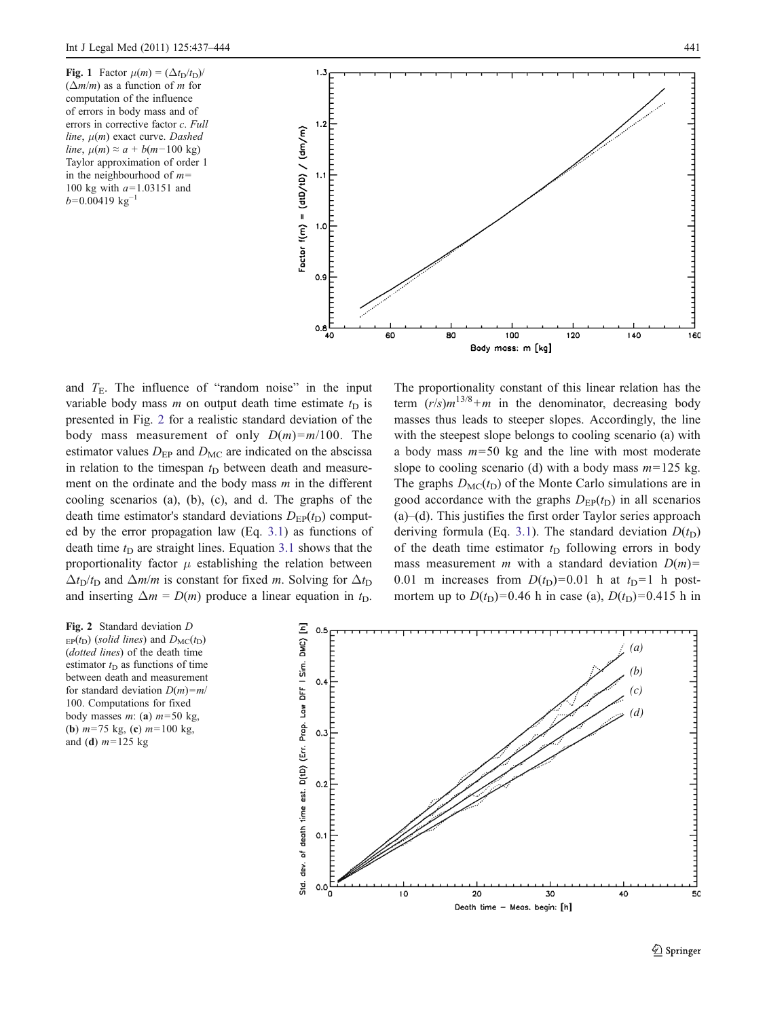<span id="page-4-0"></span>Fig. 1 Factor  $\mu(m) = (\Delta t_D/t_D)$ /  $(\Delta m/m)$  as a function of *m* for computation of the influence of errors in body mass and of errors in corrective factor c. Full line,  $\mu(m)$  exact curve. Dashed line,  $\mu(m) \approx a + b(m-100 \text{ kg})$ Taylor approximation of order 1 in the neighbourhood of  $m=$ 100 kg with  $a=1.03151$  and  $b=0.00419 \text{ kg}^{-1}$ 



and  $T<sub>E</sub>$ . The influence of "random noise" in the input variable body mass m on output death time estimate  $t_D$  is presented in Fig. 2 for a realistic standard deviation of the body mass measurement of only  $D(m)=m/100$ . The estimator values  $D_{EP}$  and  $D_{MC}$  are indicated on the abscissa in relation to the timespan  $t_D$  between death and measurement on the ordinate and the body mass  $m$  in the different cooling scenarios (a), (b), (c), and d. The graphs of the death time estimator's standard deviations  $D_{EP}(t_D)$  computed by the error propagation law (Eq. [3.1\)](#page-2-0) as functions of death time  $t_D$  are straight lines. Equation [3.1](#page-2-0) shows that the proportionality factor  $\mu$  establishing the relation between  $\Delta t_D/t_D$  and  $\Delta m/m$  is constant for fixed m. Solving for  $\Delta t_D$ and inserting  $\Delta m = D(m)$  produce a linear equation in  $t_D$ .

The proportionality constant of this linear relation has the term  $(r/s)m^{13/8}+m$  in the denominator, decreasing body masses thus leads to steeper slopes. Accordingly, the line with the steepest slope belongs to cooling scenario (a) with a body mass  $m=50$  kg and the line with most moderate slope to cooling scenario (d) with a body mass  $m=125$  kg. The graphs  $D_{MC}(t_D)$  of the Monte Carlo simulations are in good accordance with the graphs  $D_{EP}(t_D)$  in all scenarios (a)–(d). This justifies the first order Taylor series approach deriving formula (Eq. [3.1](#page-2-0)). The standard deviation  $D(t_D)$ of the death time estimator  $t_D$  following errors in body mass measurement m with a standard deviation  $D(m)$ = 0.01 m increases from  $D(t_D)=0.01$  h at  $t_D=1$  h postmortem up to  $D(t_D)=0.46$  h in case (a),  $D(t_D)=0.415$  h in

Fig. 2 Standard deviation D  $E_P(t_D)$  (solid lines) and  $D_{MC}(t_D)$ (dotted lines) of the death time estimator  $t_D$  as functions of time between death and measurement for standard deviation  $D(m)=m/2$ 100. Computations for fixed body masses m: (a)  $m=50$  kg, (**b**)  $m=75$  kg, (**c**)  $m=100$  kg, and (d)  $m=125$  kg

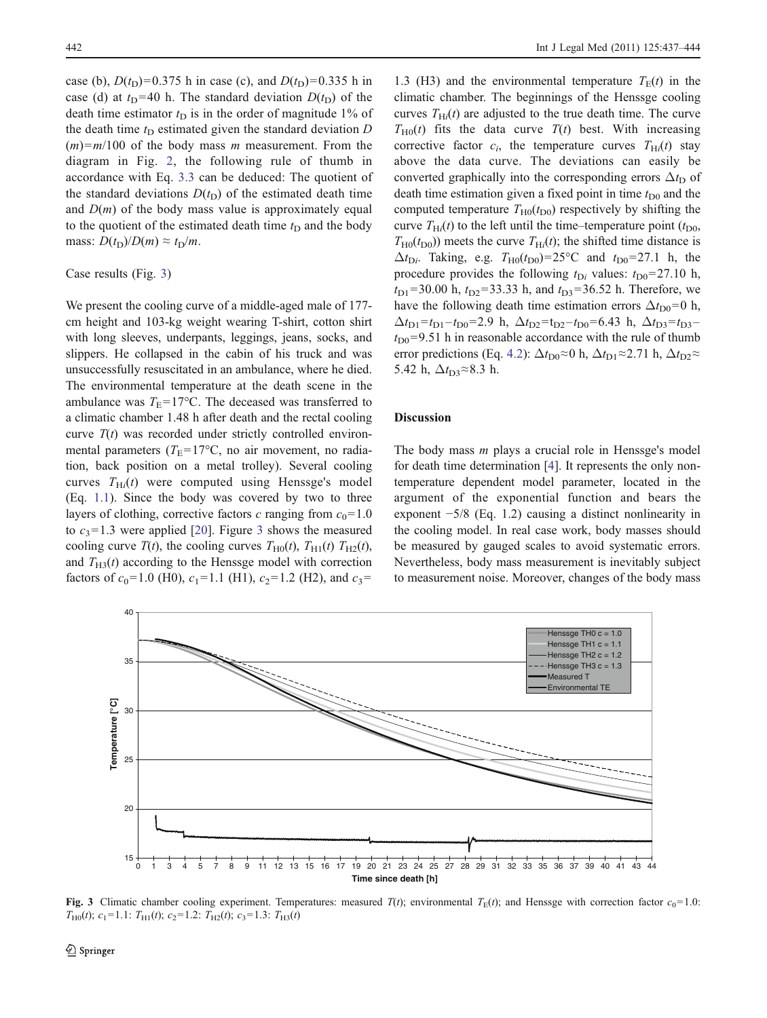case (b),  $D(t_D)=0.375$  h in case (c), and  $D(t_D)=0.335$  h in case (d) at  $t_D$ =40 h. The standard deviation  $D(t_D)$  of the death time estimator  $t<sub>D</sub>$  is in the order of magnitude 1% of the death time  $t_D$  estimated given the standard deviation  $D$  $(m)=m/100$  of the body mass m measurement. From the diagram in Fig. [2,](#page-4-0) the following rule of thumb in accordance with Eq. [3.3](#page-2-0) can be deduced: The quotient of the standard deviations  $D(t_D)$  of the estimated death time and  $D(m)$  of the body mass value is approximately equal to the quotient of the estimated death time  $t_D$  and the body mass:  $D(t_D)/D(m) \approx t_D/m$ .

## Case results (Fig. 3)

We present the cooling curve of a middle-aged male of 177 cm height and 103-kg weight wearing T-shirt, cotton shirt with long sleeves, underpants, leggings, jeans, socks, and slippers. He collapsed in the cabin of his truck and was unsuccessfully resuscitated in an ambulance, where he died. The environmental temperature at the death scene in the ambulance was  $T_{\rm E}$ =17°C. The deceased was transferred to a climatic chamber 1.48 h after death and the rectal cooling curve  $T(t)$  was recorded under strictly controlled environmental parameters ( $T_{\rm E}$ =17°C, no air movement, no radiation, back position on a metal trolley). Several cooling curves  $T_{\text{H}i}(t)$  were computed using Henssge's model (Eq. [1.1](#page-1-0)). Since the body was covered by two to three layers of clothing, corrective factors c ranging from  $c_0=1.0$ to  $c_3$ =1.3 were applied [\[20](#page-7-0)]. Figure 3 shows the measured cooling curve  $T(t)$ , the cooling curves  $T_{\text{H0}}(t)$ ,  $T_{\text{H1}}(t)$   $T_{\text{H2}}(t)$ , and  $T_{H3}(t)$  according to the Henssge model with correction factors of  $c_0$ =1.0 (H0),  $c_1$ =1.1 (H1),  $c_2$ =1.2 (H2), and  $c_3$ =

1.3 (H3) and the environmental temperature  $T<sub>E</sub>(t)$  in the climatic chamber. The beginnings of the Henssge cooling curves  $T_{\text{H}i}(t)$  are adjusted to the true death time. The curve  $T_{\text{H0}}(t)$  fits the data curve  $T(t)$  best. With increasing corrective factor  $c_i$ , the temperature curves  $T_{\text{H}i}(t)$  stay above the data curve. The deviations can easily be converted graphically into the corresponding errors  $\Delta t_D$  of death time estimation given a fixed point in time  $t_{\text{D}0}$  and the computed temperature  $T_{H0}(t_{D0})$  respectively by shifting the curve  $T_{\text{H}i}(t)$  to the left until the time–temperature point  $(t_{\text{D}0},$  $T_{\text{H0}}(t_{\text{D0}})$  meets the curve  $T_{\text{H}i}(t)$ ; the shifted time distance is  $\Delta t_{\text{Di}}$ . Taking, e.g.  $T_{\text{H0}}(t_{\text{D0}})=25^{\circ}\text{C}$  and  $t_{\text{D0}}=27.1$  h, the procedure provides the following  $t_{\text{D}i}$  values:  $t_{\text{D}0}$ =27.10 h,  $t_{D1}$ =30.00 h,  $t_{D2}$ =33.33 h, and  $t_{D3}$ =36.52 h. Therefore, we have the following death time estimation errors  $\Delta t_{\text{D0}}=0$  h,  $\Delta t_{D1} = t_{D1} - t_{D0} = 2.9 \text{ h}, \ \Delta t_{D2} = t_{D2} - t_{D0} = 6.43 \text{ h}, \ \Delta t_{D3} = t_{D3}$  $t_{\text{D}0}$ =9.51 h in reasonable accordance with the rule of thumb error predictions (Eq. [4.2](#page-3-0)):  $\Delta t_{\text{D0}} \approx 0$  h,  $\Delta t_{\text{D1}} \approx 2.71$  h,  $\Delta t_{\text{D2}} \approx$ 5.42 h,  $\Delta t_{D3}$ ≈8.3 h.

# Discussion

The body mass m plays a crucial role in Henssge's model for death time determination [[4\]](#page-7-0). It represents the only nontemperature dependent model parameter, located in the argument of the exponential function and bears the exponent −5/8 (Eq. 1.2) causing a distinct nonlinearity in the cooling model. In real case work, body masses should be measured by gauged scales to avoid systematic errors. Nevertheless, body mass measurement is inevitably subject to measurement noise. Moreover, changes of the body mass



Fig. 3 Climatic chamber cooling experiment. Temperatures: measured  $T(t)$ ; environmental  $T_E(t)$ ; and Henssge with correction factor  $c_0=1.0$ :  $T_{\text{H0}}(t)$ ;  $c_1$ =1.1:  $T_{\text{H1}}(t)$ ;  $c_2$ =1.2:  $T_{\text{H2}}(t)$ ;  $c_3$ =1.3:  $T_{\text{H3}}(t)$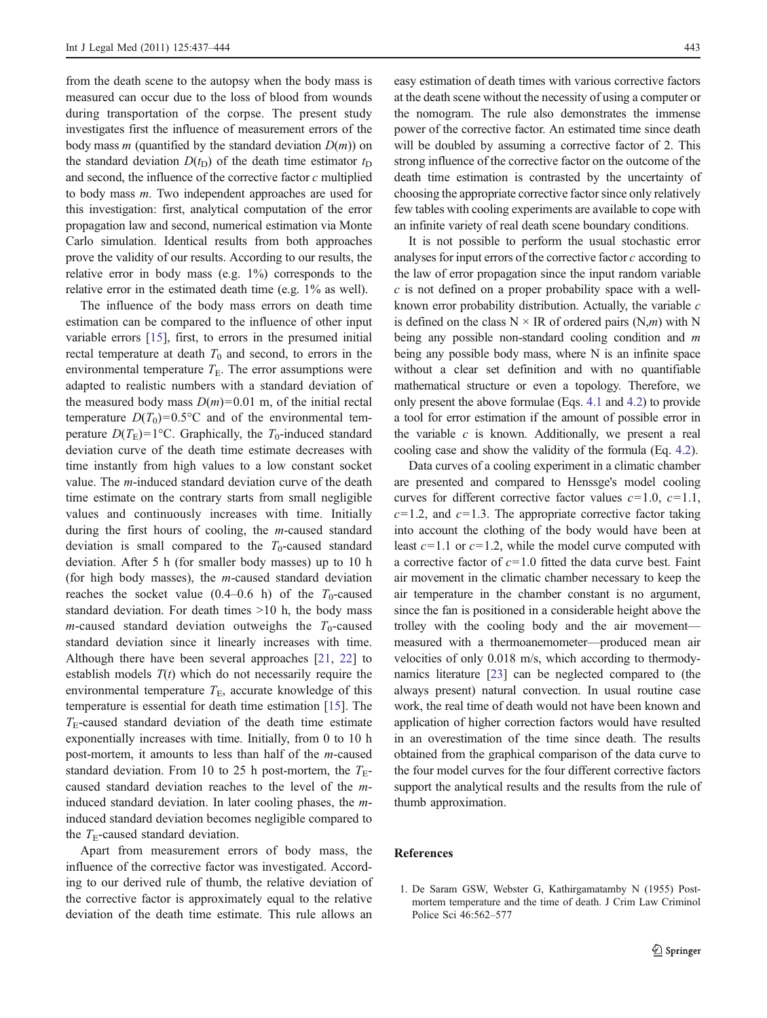<span id="page-6-0"></span>from the death scene to the autopsy when the body mass is measured can occur due to the loss of blood from wounds during transportation of the corpse. The present study investigates first the influence of measurement errors of the body mass *m* (quantified by the standard deviation  $D(m)$ ) on the standard deviation  $D(t_D)$  of the death time estimator  $t_D$ and second, the influence of the corrective factor  $c$  multiplied to body mass m. Two independent approaches are used for this investigation: first, analytical computation of the error propagation law and second, numerical estimation via Monte Carlo simulation. Identical results from both approaches prove the validity of our results. According to our results, the relative error in body mass (e.g. 1%) corresponds to the relative error in the estimated death time (e.g. 1% as well).

The influence of the body mass errors on death time estimation can be compared to the influence of other input variable errors [[15\]](#page-7-0), first, to errors in the presumed initial rectal temperature at death  $T_0$  and second, to errors in the environmental temperature  $T<sub>E</sub>$ . The error assumptions were adapted to realistic numbers with a standard deviation of the measured body mass  $D(m)=0.01$  m, of the initial rectal temperature  $D(T_0)=0.5$ °C and of the environmental temperature  $D(T_{\rm E})=1$ °C. Graphically, the  $T_0$ -induced standard deviation curve of the death time estimate decreases with time instantly from high values to a low constant socket value. The m-induced standard deviation curve of the death time estimate on the contrary starts from small negligible values and continuously increases with time. Initially during the first hours of cooling, the m-caused standard deviation is small compared to the  $T_0$ -caused standard deviation. After 5 h (for smaller body masses) up to 10 h (for high body masses), the m-caused standard deviation reaches the socket value (0.4–0.6 h) of the  $T_0$ -caused standard deviation. For death times >10 h, the body mass *m*-caused standard deviation outweighs the  $T_0$ -caused standard deviation since it linearly increases with time. Although there have been several approaches [\[21](#page-7-0), [22\]](#page-7-0) to establish models  $T(t)$  which do not necessarily require the environmental temperature  $T<sub>E</sub>$ , accurate knowledge of this temperature is essential for death time estimation [[15\]](#page-7-0). The  $T<sub>E</sub>$ -caused standard deviation of the death time estimate exponentially increases with time. Initially, from 0 to 10 h post-mortem, it amounts to less than half of the m-caused standard deviation. From 10 to 25 h post-mortem, the  $T_{E}$ caused standard deviation reaches to the level of the minduced standard deviation. In later cooling phases, the minduced standard deviation becomes negligible compared to the  $T_{\text{E}}$ -caused standard deviation.

Apart from measurement errors of body mass, the influence of the corrective factor was investigated. According to our derived rule of thumb, the relative deviation of the corrective factor is approximately equal to the relative deviation of the death time estimate. This rule allows an

easy estimation of death times with various corrective factors at the death scene without the necessity of using a computer or the nomogram. The rule also demonstrates the immense power of the corrective factor. An estimated time since death will be doubled by assuming a corrective factor of 2. This strong influence of the corrective factor on the outcome of the death time estimation is contrasted by the uncertainty of choosing the appropriate corrective factor since only relatively few tables with cooling experiments are available to cope with an infinite variety of real death scene boundary conditions.

It is not possible to perform the usual stochastic error analyses for input errors of the corrective factor c according to the law of error propagation since the input random variable  $c$  is not defined on a proper probability space with a wellknown error probability distribution. Actually, the variable c is defined on the class  $N \times IR$  of ordered pairs  $(N,m)$  with N being any possible non-standard cooling condition and m being any possible body mass, where N is an infinite space without a clear set definition and with no quantifiable mathematical structure or even a topology. Therefore, we only present the above formulae (Eqs. [4.1](#page-3-0) and [4.2](#page-3-0)) to provide a tool for error estimation if the amount of possible error in the variable  $c$  is known. Additionally, we present a real cooling case and show the validity of the formula (Eq. [4.2\)](#page-3-0).

Data curves of a cooling experiment in a climatic chamber are presented and compared to Henssge's model cooling curves for different corrective factor values  $c=1.0$ ,  $c=1.1$ ,  $c=1.2$ , and  $c=1.3$ . The appropriate corrective factor taking into account the clothing of the body would have been at least  $c=1.1$  or  $c=1.2$ , while the model curve computed with a corrective factor of  $c=1.0$  fitted the data curve best. Faint air movement in the climatic chamber necessary to keep the air temperature in the chamber constant is no argument, since the fan is positioned in a considerable height above the trolley with the cooling body and the air movement measured with a thermoanemometer—produced mean air velocities of only 0.018 m/s, which according to thermodynamics literature [\[23\]](#page-7-0) can be neglected compared to (the always present) natural convection. In usual routine case work, the real time of death would not have been known and application of higher correction factors would have resulted in an overestimation of the time since death. The results obtained from the graphical comparison of the data curve to the four model curves for the four different corrective factors support the analytical results and the results from the rule of thumb approximation.

### References

1. De Saram GSW, Webster G, Kathirgamatamby N (1955) Postmortem temperature and the time of death. J Crim Law Criminol Police Sci 46:562–577